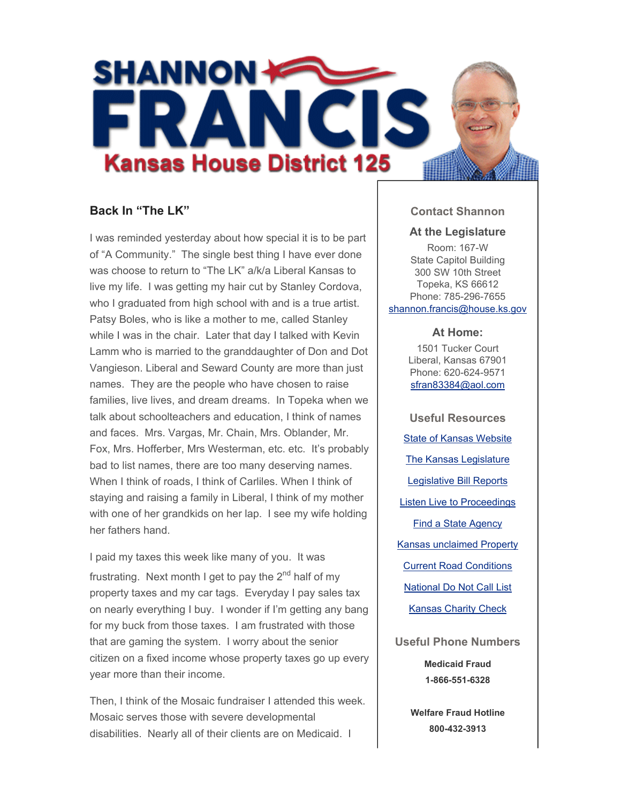

# **Back In "The LK"**

I was reminded yesterday about how special it is to be part of "A Community." The single best thing I have ever done was choose to return to "The LK" a/k/a Liberal Kansas to live my life. I was getting my hair cut by Stanley Cordova, who I graduated from high school with and is a true artist. Patsy Boles, who is like a mother to me, called Stanley while I was in the chair. Later that day I talked with Kevin Lamm who is married to the granddaughter of Don and Dot Vangieson. Liberal and Seward County are more than just names. They are the people who have chosen to raise families, live lives, and dream dreams. In Topeka when we talk about schoolteachers and education, I think of names and faces. Mrs. Vargas, Mr. Chain, Mrs. Oblander, Mr. Fox, Mrs. Hofferber, Mrs Westerman, etc. etc. It's probably bad to list names, there are too many deserving names. When I think of roads, I think of Carliles. When I think of staying and raising a family in Liberal, I think of my mother with one of her grandkids on her lap. I see my wife holding her fathers hand.

I paid my taxes this week like many of you. It was frustrating. Next month I get to pay the  $2<sup>nd</sup>$  half of my property taxes and my car tags. Everyday I pay sales tax on nearly everything I buy. I wonder if I'm getting any bang for my buck from those taxes. I am frustrated with those that are gaming the system. I worry about the senior citizen on a fixed income whose property taxes go up every year more than their income.

Then, I think of the Mosaic fundraiser I attended this week. Mosaic serves those with severe developmental disabilities. Nearly all of their clients are on Medicaid. I

### **Contact Shannon**

#### **At the Legislature**

Room: 167-W State Capitol Building 300 SW 10th Street Topeka, KS 66612 Phone: 785-296-7655 shannon.francis@house.ks.gov

#### **At Home:**

1501 Tucker Court Liberal, Kansas 67901 Phone: 620-624-9571 sfran83384@aol.com

**Useful Resources** State of Kansas Website The Kansas Legislature Legislative Bill Reports Listen Live to Proceedings Find a State Agency Kansas unclaimed Property Current Road Conditions National Do Not Call List Kansas Charity Check

**Useful Phone Numbers Medicaid Fraud 1-866-551-6328**

> **Welfare Fraud Hotline 800-432-3913**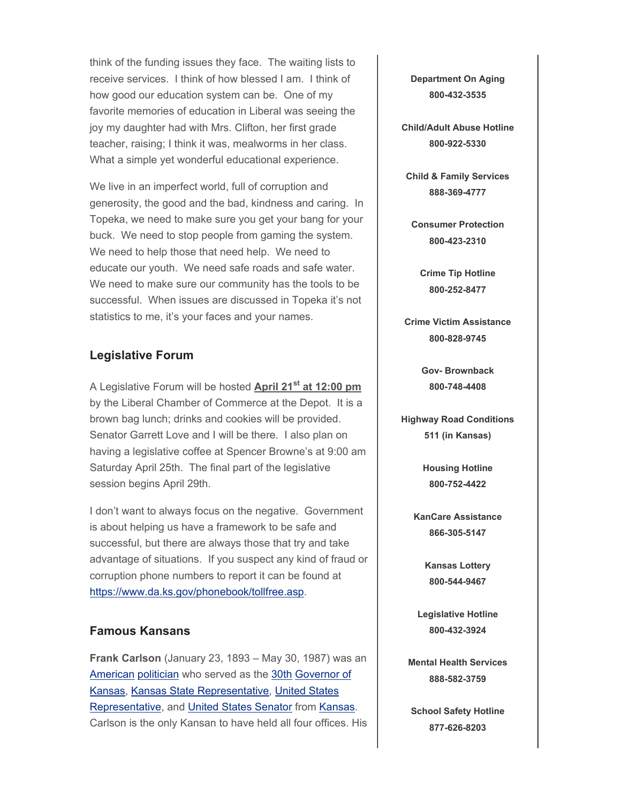think of the funding issues they face. The waiting lists to receive services. I think of how blessed I am. I think of how good our education system can be. One of my favorite memories of education in Liberal was seeing the joy my daughter had with Mrs. Clifton, her first grade teacher, raising; I think it was, mealworms in her class. What a simple yet wonderful educational experience.

We live in an imperfect world, full of corruption and generosity, the good and the bad, kindness and caring. In Topeka, we need to make sure you get your bang for your buck. We need to stop people from gaming the system. We need to help those that need help. We need to educate our youth. We need safe roads and safe water. We need to make sure our community has the tools to be successful. When issues are discussed in Topeka it's not statistics to me, it's your faces and your names.

## **Legislative Forum**

A Legislative Forum will be hosted **April 21st at 12:00 pm** by the Liberal Chamber of Commerce at the Depot. It is a brown bag lunch; drinks and cookies will be provided. Senator Garrett Love and I will be there. I also plan on having a legislative coffee at Spencer Browne's at 9:00 am Saturday April 25th. The final part of the legislative session begins April 29th.

I don't want to always focus on the negative. Government is about helping us have a framework to be safe and successful, but there are always those that try and take advantage of situations. If you suspect any kind of fraud or corruption phone numbers to report it can be found at https://www.da.ks.gov/phonebook/tollfree.asp.

## **Famous Kansans**

**Frank Carlson** (January 23, 1893 – May 30, 1987) was an American politician who served as the 30th Governor of Kansas, Kansas State Representative, United States Representative, and United States Senator from Kansas. Carlson is the only Kansan to have held all four offices. His **Department On Aging 800-432-3535**

**Child/Adult Abuse Hotline 800-922-5330**

**Child & Family Services 888-369-4777**

**Consumer Protection 800-423-2310**

**Crime Tip Hotline 800-252-8477**

**Crime Victim Assistance 800-828-9745**

> **Gov- Brownback 800-748-4408**

**Highway Road Conditions 511 (in Kansas)**

> **Housing Hotline 800-752-4422**

**KanCare Assistance 866-305-5147**

> **Kansas Lottery 800-544-9467**

**Legislative Hotline 800-432-3924**

**Mental Health Services 888-582-3759**

**School Safety Hotline 877-626-8203**